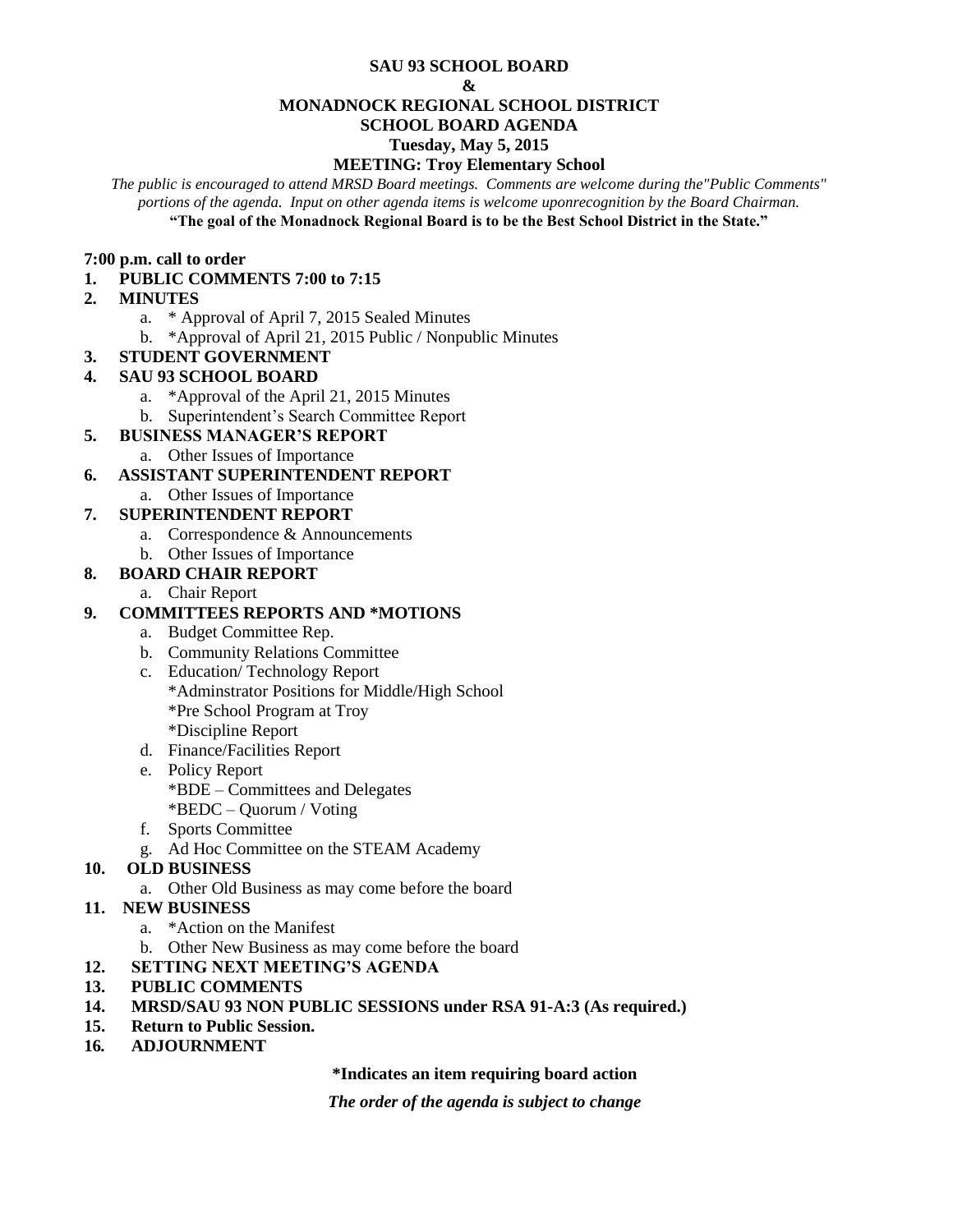#### **SAU 93 SCHOOL BOARD**

#### **&**

#### **MONADNOCK REGIONAL SCHOOL DISTRICT**

## **SCHOOL BOARD AGENDA**

#### **Tuesday, May 5, 2015**

## **MEETING: Troy Elementary School**

*The public is encouraged to attend MRSD Board meetings. Comments are welcome during the"Public Comments" portions of the agenda. Input on other agenda items is welcome uponrecognition by the Board Chairman.* **"The goal of the Monadnock Regional Board is to be the Best School District in the State."**

#### **7:00 p.m. call to order**

## **1. PUBLIC COMMENTS 7:00 to 7:15**

## **2. MINUTES**

- a. \* Approval of April 7, 2015 Sealed Minutes
- b. \*Approval of April 21, 2015 Public / Nonpublic Minutes
- **3. STUDENT GOVERNMENT**

## **4. SAU 93 SCHOOL BOARD**

- a. \*Approval of the April 21, 2015 Minutes
- b. Superintendent's Search Committee Report
- **5. BUSINESS MANAGER'S REPORT** 
	- a. Other Issues of Importance

# **6. ASSISTANT SUPERINTENDENT REPORT**

a. Other Issues of Importance

# **7. SUPERINTENDENT REPORT**

- a. Correspondence & Announcements
- b. Other Issues of Importance

## **8. BOARD CHAIR REPORT**

a. Chair Report

## **9. COMMITTEES REPORTS AND \*MOTIONS**

- a. Budget Committee Rep.
- b. Community Relations Committee
- c. Education/ Technology Report \*Adminstrator Positions for Middle/High School \*Pre School Program at Troy \*Discipline Report
- d. Finance/Facilities Report
- e. Policy Report \*BDE – Committees and Delegates \*BEDC – Quorum / Voting
- f. Sports Committee
- g. Ad Hoc Committee on the STEAM Academy

## **10. OLD BUSINESS**

- a. Other Old Business as may come before the board
- **11. NEW BUSINESS**
	- a. \*Action on the Manifest
	- b. Other New Business as may come before the board
- **12. SETTING NEXT MEETING'S AGENDA**
- **13. PUBLIC COMMENTS**
- **14. MRSD/SAU 93 NON PUBLIC SESSIONS under RSA 91-A:3 (As required.)**
- **15. Return to Public Session.**
- **16***.* **ADJOURNMENT**

**\*Indicates an item requiring board action**

*The order of the agenda is subject to change*